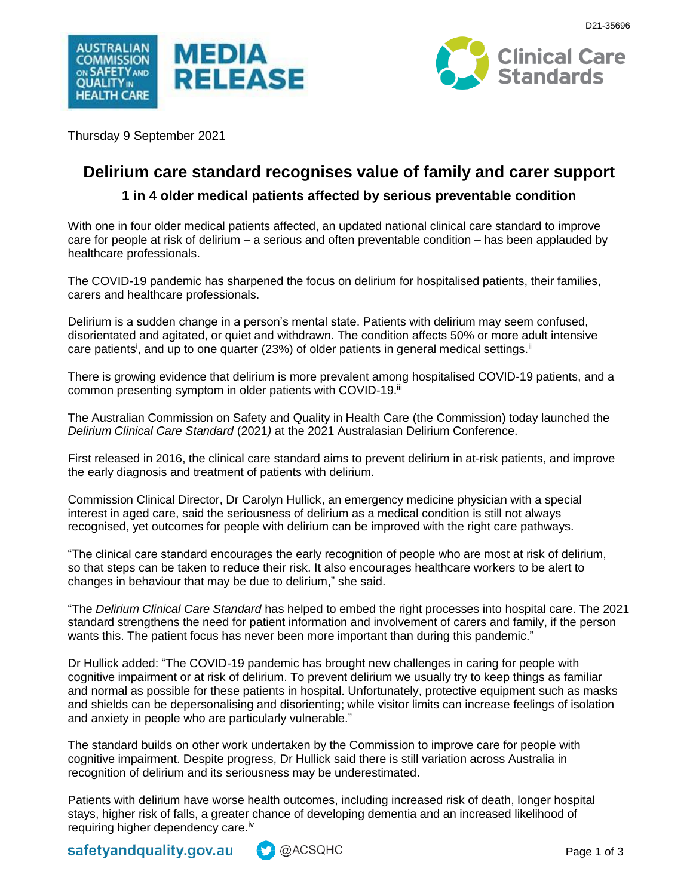



Thursday 9 September 2021

# **Delirium care standard recognises value of family and carer support**

## **1 in 4 older medical patients affected by serious preventable condition**

With one in four older medical patients affected, an updated national clinical care standard to improve care for people at risk of delirium – a serious and often preventable condition – has been applauded by healthcare professionals.

The COVID-19 pandemic has sharpened the focus on delirium for hospitalised patients, their families, carers and healthcare professionals.

Delirium is a sudden change in a person's mental state. Patients with delirium may seem confused, disorientated and agitated, or quiet and withdrawn. The condition affects 50% or more adult intensive care patients<sup>i</sup>, and up to one quarter (23%) of older patients in general medical settings.<sup>ii</sup>

There is growing evidence that delirium is more prevalent among hospitalised COVID-19 patients, and a common presenting symptom in older patients with COVID-19.iii

The Australian Commission on Safety and Quality in Health Care (the Commission) today launched the *Delirium Clinical Care Standard* (2021*)* at the 2021 Australasian Delirium Conference.

First released in 2016, the clinical care standard aims to prevent delirium in at-risk patients, and improve the early diagnosis and treatment of patients with delirium.

Commission Clinical Director, Dr Carolyn Hullick, an emergency medicine physician with a special interest in aged care, said the seriousness of delirium as a medical condition is still not always recognised, yet outcomes for people with delirium can be improved with the right care pathways.

"The clinical care standard encourages the early recognition of people who are most at risk of delirium, so that steps can be taken to reduce their risk. It also encourages healthcare workers to be alert to changes in behaviour that may be due to delirium," she said.

"The *Delirium Clinical Care Standard* has helped to embed the right processes into hospital care. The 2021 standard strengthens the need for patient information and involvement of carers and family, if the person wants this. The patient focus has never been more important than during this pandemic."

Dr Hullick added: "The COVID-19 pandemic has brought new challenges in caring for people with cognitive impairment or at risk of delirium. To prevent delirium we usually try to keep things as familiar and normal as possible for these patients in hospital. Unfortunately, protective equipment such as masks and shields can be depersonalising and disorienting; while visitor limits can increase feelings of isolation and anxiety in people who are particularly vulnerable."

The standard builds on other work undertaken by the Commission to improve care for people with cognitive impairment. Despite progress, Dr Hullick said there is still variation across Australia in recognition of delirium and its seriousness may be underestimated.

Patients with delirium have worse health outcomes, including increased risk of death, longer hospital stays, higher risk of falls, a greater chance of developing dementia and an increased likelihood of requiring higher dependency care.<sup>iv</sup>

safetyandquality.gov.au **A** @ACSQHC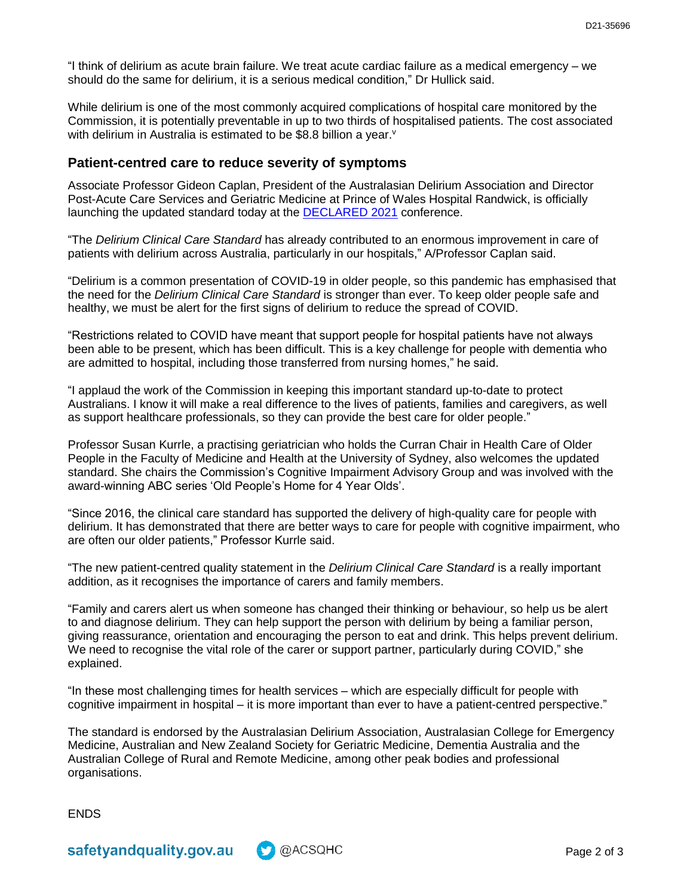"I think of delirium as acute brain failure. We treat acute cardiac failure as a medical emergency – we should do the same for delirium, it is a serious medical condition," Dr Hullick said.

While delirium is one of the most commonly acquired complications of hospital care monitored by the Commission, it is potentially preventable in up to two thirds of hospitalised patients. The cost associated with delirium in Australia is estimated to be \$8.8 billion a year.<sup>v</sup>

### **Patient-centred care to reduce severity of symptoms**

Associate Professor Gideon Caplan, President of the Australasian Delirium Association and Director Post-Acute Care Services and Geriatric Medicine at Prince of Wales Hospital Randwick, is officially launching the updated standard today at the [DECLARED 2021](https://www.declared2021.com/) conference.

"The *Delirium Clinical Care Standard* has already contributed to an enormous improvement in care of patients with delirium across Australia, particularly in our hospitals," A/Professor Caplan said.

"Delirium is a common presentation of COVID-19 in older people, so this pandemic has emphasised that the need for the *Delirium Clinical Care Standard* is stronger than ever. To keep older people safe and healthy, we must be alert for the first signs of delirium to reduce the spread of COVID.

"Restrictions related to COVID have meant that support people for hospital patients have not always been able to be present, which has been difficult. This is a key challenge for people with dementia who are admitted to hospital, including those transferred from nursing homes," he said.

"I applaud the work of the Commission in keeping this important standard up-to-date to protect Australians. I know it will make a real difference to the lives of patients, families and caregivers, as well as support healthcare professionals, so they can provide the best care for older people."

Professor Susan Kurrle, a practising geriatrician who holds the Curran Chair in Health Care of Older People in the Faculty of Medicine and Health at the University of Sydney, also welcomes the updated standard. She chairs the Commission's Cognitive Impairment Advisory Group and was involved with the award-winning ABC series 'Old People's Home for 4 Year Olds'.

"Since 2016, the clinical care standard has supported the delivery of high-quality care for people with delirium. It has demonstrated that there are better ways to care for people with cognitive impairment, who are often our older patients," Professor Kurrle said.

"The new patient-centred quality statement in the *Delirium Clinical Care Standard* is a really important addition, as it recognises the importance of carers and family members.

"Family and carers alert us when someone has changed their thinking or behaviour, so help us be alert to and diagnose delirium. They can help support the person with delirium by being a familiar person, giving reassurance, orientation and encouraging the person to eat and drink. This helps prevent delirium. We need to recognise the vital role of the carer or support partner, particularly during COVID," she explained.

"In these most challenging times for health services – which are especially difficult for people with cognitive impairment in hospital – it is more important than ever to have a patient-centred perspective."

The standard is endorsed by the Australasian Delirium Association, Australasian College for Emergency Medicine, Australian and New Zealand Society for Geriatric Medicine, Dementia Australia and the Australian College of Rural and Remote Medicine, among other peak bodies and professional organisations.

**ENDS** 

safetyandquality.gov.au changes also also also